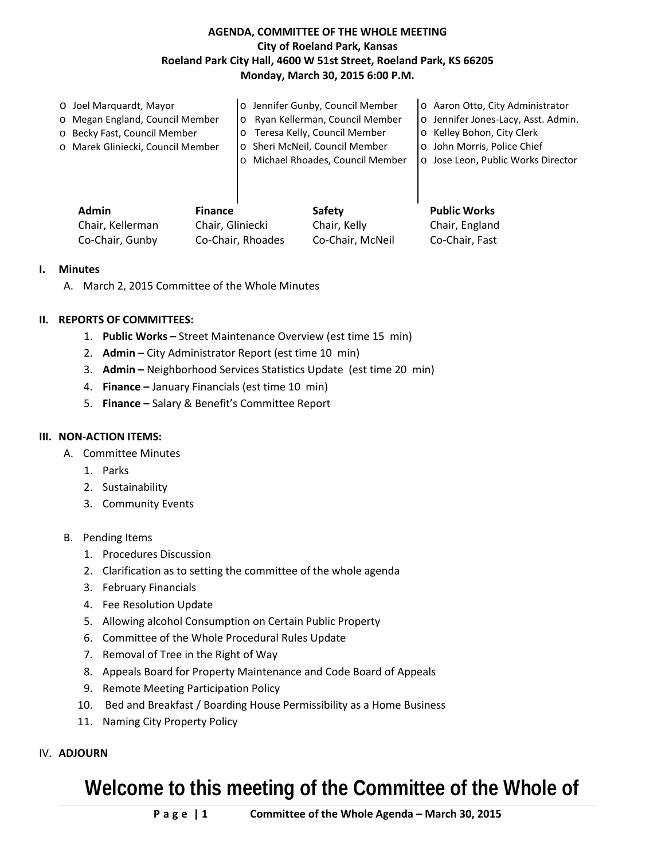# **AGENDA, COMMITTEE OF THE WHOLE MEETING City of Roeland Park, Kansas Roeland Park City Hall, 4600 W 51st Street, Roeland Park, KS 66205 Monday, March 30, 2015 6:00 P.M.**

| Admin<br><b>Finance</b>           |                | Safety                           | <b>Public Works</b>                 |
|-----------------------------------|----------------|----------------------------------|-------------------------------------|
|                                   |                |                                  |                                     |
|                                   | $\overline{O}$ | Michael Rhoades, Council Member  | o Jose Leon, Public Works Director  |
| o Marek Gliniecki, Council Member |                | o Sheri McNeil, Council Member   | o John Morris, Police Chief         |
| o Becky Fast, Council Member      | $\circ$        | Teresa Kelly, Council Member     | o Kelley Bohon, City Clerk          |
| o Megan England, Council Member   |                | o Ryan Kellerman, Council Member | o Jennifer Jones-Lacy, Asst. Admin. |
| O Joel Marquardt, Mayor           |                | o Jennifer Gunby, Council Member | o Aaron Otto, City Administrator    |

| <b>Admin</b>     | <b>Finance</b>    | Safety           | <b>Public Works</b> |
|------------------|-------------------|------------------|---------------------|
| Chair. Kellerman | Chair, Gliniecki  | Chair, Kelly     | Chair, England      |
| Co-Chair, Gunby  | Co-Chair, Rhoades | Co-Chair, McNeil | Co-Chair, Fast      |

#### **I. Minutes**

A. March 2, 2015 Committee of the Whole Minutes

## **II. REPORTS OF COMMITTEES:**

- 1. **Public Works –** Street Maintenance Overview (est time 15 min)
- 2. **Admin**  City Administrator Report (est time 10 min)
- 3. **Admin –** Neighborhood Services Statistics Update (est time 20 min)
- 4. **Finance –** January Financials (est time 10 min)
- 5. **Finance –** Salary & Benefit's Committee Report

#### **III. NON-ACTION ITEMS:**

- A. Committee Minutes
	- 1. Parks
	- 2. Sustainability
	- 3. Community Events
- B. Pending Items
	- 1. Procedures Discussion
	- 2. Clarification as to setting the committee of the whole agenda
	- 3. February Financials
	- 4. Fee Resolution Update
	- 5. Allowing alcohol Consumption on Certain Public Property
	- 6. Committee of the Whole Procedural Rules Update
	- 7. Removal of Tree in the Right of Way
	- 8. Appeals Board for Property Maintenance and Code Board of Appeals
	- 9. Remote Meeting Participation Policy
	- 10. Bed and Breakfast / Boarding House Permissibility as a Home Business
	- 11. Naming City Property Policy

## IV. **ADJOURN**

# **Welcome to this meeting of the Committee of the Whole of**